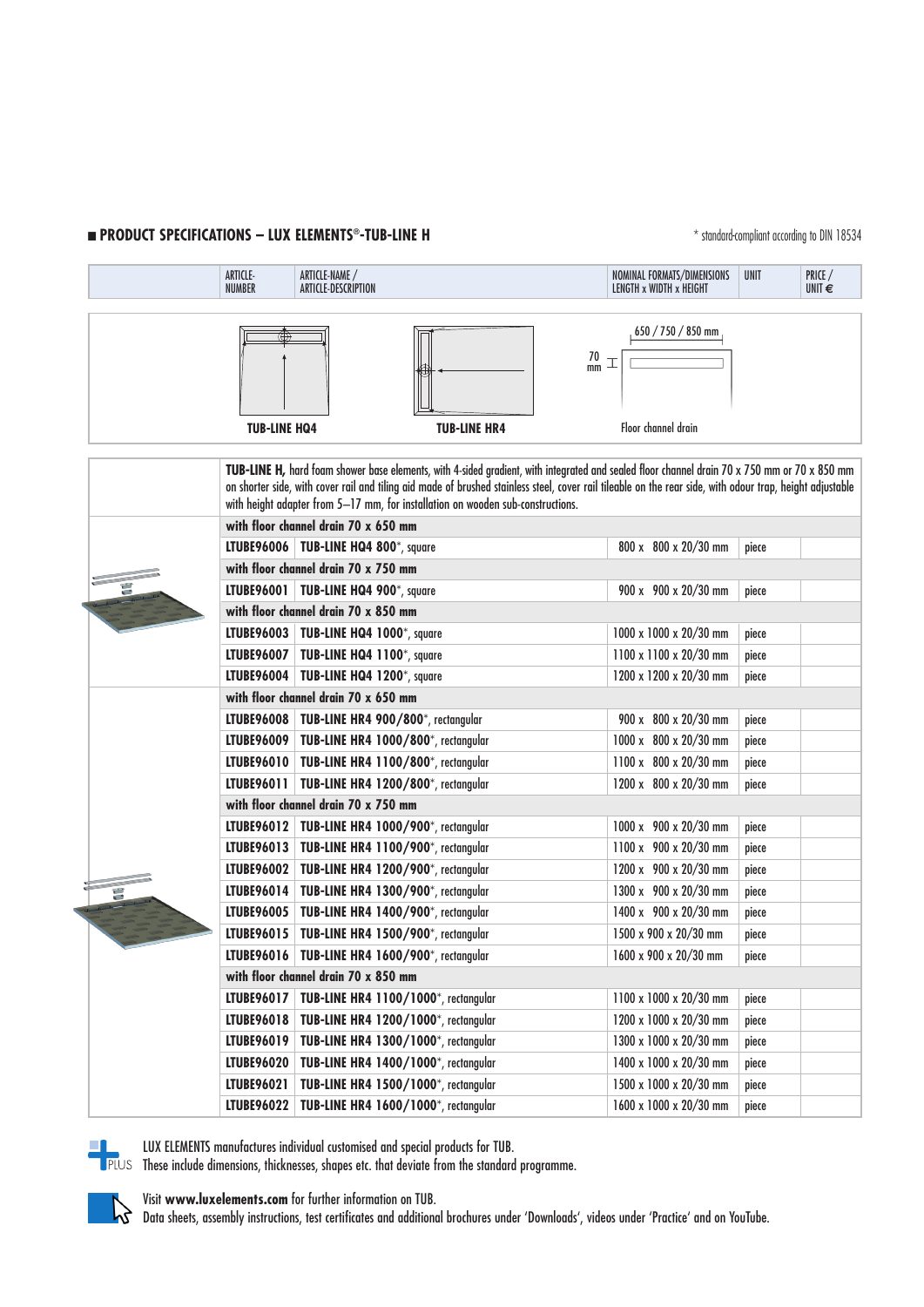## **n PRODUCT SPECIFICATIONS – LUX ELEMENTS®-TUB-LINE H** \* \* \$tondard-compliant according to DIN 18534

|  |  | ARTICLE-<br>ARTICLE-NAME /<br><b>NUMBER</b><br>ARTICLE-DESCRIPTION                                                                                                                                                                                                                                                                                                                           |                                                   | NOMINAL FORMATS/DIMENSIONS<br>LENGTH x WIDTH x HEIGHT | <b>UNIT</b> | PRICE /<br>UNIT $\epsilon$ |  |  |  |
|--|--|----------------------------------------------------------------------------------------------------------------------------------------------------------------------------------------------------------------------------------------------------------------------------------------------------------------------------------------------------------------------------------------------|---------------------------------------------------|-------------------------------------------------------|-------------|----------------------------|--|--|--|
|  |  |                                                                                                                                                                                                                                                                                                                                                                                              |                                                   |                                                       |             |                            |  |  |  |
|  |  |                                                                                                                                                                                                                                                                                                                                                                                              |                                                   | $650 / 750 / 850$ mm<br>$\frac{70}{mm}$               |             |                            |  |  |  |
|  |  | <b>TUB-LINE HQ4</b>                                                                                                                                                                                                                                                                                                                                                                          | <b>TUB-LINE HR4</b>                               | Floor channel drain                                   |             |                            |  |  |  |
|  |  | TUB-LINE H, hard foam shower base elements, with 4-sided gradient, with integrated and sealed floor channel drain 70 x 750 mm or 70 x 850 mm<br>on shorter side, with cover rail and tiling aid made of brushed stainless steel, cover rail tileable on the rear side, with odour trap, height adjustable<br>with height adapter from 5-17 mm, for installation on wooden sub-constructions. |                                                   |                                                       |             |                            |  |  |  |
|  |  |                                                                                                                                                                                                                                                                                                                                                                                              | with floor channel drain 70 x 650 mm              |                                                       |             |                            |  |  |  |
|  |  |                                                                                                                                                                                                                                                                                                                                                                                              | LTUBE96006   TUB-LINE HQ4 800*, square            | 800 x 800 x 20/30 mm                                  | piece       |                            |  |  |  |
|  |  |                                                                                                                                                                                                                                                                                                                                                                                              | with floor channel drain 70 x 750 mm              |                                                       |             |                            |  |  |  |
|  |  |                                                                                                                                                                                                                                                                                                                                                                                              | LTUBE96001   TUB-LINE HQ4 900*, square            | 900 x 900 x 20/30 mm                                  | piece       |                            |  |  |  |
|  |  | with floor channel drain 70 x 850 mm                                                                                                                                                                                                                                                                                                                                                         |                                                   |                                                       |             |                            |  |  |  |
|  |  |                                                                                                                                                                                                                                                                                                                                                                                              | LTUBE96003   TUB-LINE HQ4 1000*, square           | 1000 x 1000 x 20/30 mm                                | piece       |                            |  |  |  |
|  |  |                                                                                                                                                                                                                                                                                                                                                                                              | LTUBE96007   TUB-LINE HQ4 1100*, square           | 1100 x 1100 x 20/30 mm                                | piece       |                            |  |  |  |
|  |  |                                                                                                                                                                                                                                                                                                                                                                                              | LTUBE96004   TUB-LINE HQ4 1200*, square           | 1200 x 1200 x 20/30 mm                                | piece       |                            |  |  |  |
|  |  | with floor channel drain 70 x 650 mm                                                                                                                                                                                                                                                                                                                                                         |                                                   |                                                       |             |                            |  |  |  |
|  |  |                                                                                                                                                                                                                                                                                                                                                                                              | LTUBE96008   TUB-LINE HR4 900/800*, rectangular   | 900 x 800 x 20/30 mm                                  | piece       |                            |  |  |  |
|  |  |                                                                                                                                                                                                                                                                                                                                                                                              | LTUBE96009   TUB-LINE HR4 1000/800*, rectangular  | 1000 x 800 x 20/30 mm                                 | piece       |                            |  |  |  |
|  |  |                                                                                                                                                                                                                                                                                                                                                                                              | LTUBE96010   TUB-LINE HR4 1100/800*, rectangular  | 1100 x 800 x 20/30 mm                                 | piece       |                            |  |  |  |
|  |  |                                                                                                                                                                                                                                                                                                                                                                                              | LTUBE96011   TUB-LINE HR4 1200/800*, rectangular  | 1200 x 800 x 20/30 mm                                 | piece       |                            |  |  |  |
|  |  | with floor channel drain 70 x 750 mm                                                                                                                                                                                                                                                                                                                                                         |                                                   |                                                       |             |                            |  |  |  |
|  |  |                                                                                                                                                                                                                                                                                                                                                                                              | LTUBE96012   TUB-LINE HR4 1000/900*, rectangular  | 1000 x 900 x 20/30 mm                                 | piece       |                            |  |  |  |
|  |  |                                                                                                                                                                                                                                                                                                                                                                                              | LTUBE96013   TUB-LINE HR4 1100/900*, rectangular  | 1100 x 900 x 20/30 mm                                 | piece       |                            |  |  |  |
|  |  | LTUBE96002                                                                                                                                                                                                                                                                                                                                                                                   | TUB-LINE HR4 1200/900*, rectangular               | 1200 x 900 x 20/30 mm                                 | piece       |                            |  |  |  |
|  |  |                                                                                                                                                                                                                                                                                                                                                                                              | LTUBE96014   TUB-LINE HR4 1300/900*, rectangular  | 1300 x 900 x 20/30 mm                                 | piece       |                            |  |  |  |
|  |  |                                                                                                                                                                                                                                                                                                                                                                                              | LTUBE96005   TUB-LINE HR4 1400/900*, rectangular  | 1400 x 900 x 20/30 mm                                 | piece       |                            |  |  |  |
|  |  |                                                                                                                                                                                                                                                                                                                                                                                              | LTUBE96015   TUB-LINE HR4 1500/900*, rectangular  | 1500 x 900 x 20/30 mm                                 | piece       |                            |  |  |  |
|  |  |                                                                                                                                                                                                                                                                                                                                                                                              | LTUBE96016   TUB-LINE HR4 1600/900*, rectangular  | 1600 x 900 x 20/30 mm                                 | piece       |                            |  |  |  |
|  |  | with floor channel drain 70 x 850 mm                                                                                                                                                                                                                                                                                                                                                         |                                                   |                                                       |             |                            |  |  |  |
|  |  | LTUBE96017                                                                                                                                                                                                                                                                                                                                                                                   | TUB-LINE HR4 1100/1000*, rectangular              | 1100 x 1000 x 20/30 mm                                | piece       |                            |  |  |  |
|  |  | LTUBE96018                                                                                                                                                                                                                                                                                                                                                                                   | TUB-LINE HR4 1200/1000*, rectangular              | 1200 x 1000 x 20/30 mm                                | piece       |                            |  |  |  |
|  |  | LTUBE96019                                                                                                                                                                                                                                                                                                                                                                                   | TUB-LINE HR4 1300/1000*, rectangular              | 1300 x 1000 x 20/30 mm                                | piece       |                            |  |  |  |
|  |  | <b>LTUBE96020</b>                                                                                                                                                                                                                                                                                                                                                                            | TUB-LINE HR4 1400/1000*, rectangular              | 1400 x 1000 x 20/30 mm                                | piece       |                            |  |  |  |
|  |  | LTUBE96021                                                                                                                                                                                                                                                                                                                                                                                   | TUB-LINE HR4 1500/1000*, rectangular              | 1500 x 1000 x 20/30 mm                                | piece       |                            |  |  |  |
|  |  |                                                                                                                                                                                                                                                                                                                                                                                              | LTUBE96022   TUB-LINE HR4 1600/1000*, rectangular | 1600 x 1000 x 20/30 mm                                | piece       |                            |  |  |  |



LUX ELEMENTS manufactures individual customised and special products for TUB.

These include dimensions, thicknesses, shapes etc. that deviate from the standard programme.

Visit **www.luxelements.com** for further information on TUB. Data sheets, assembly instructions, test certificates and additional brochures under 'Downloads', videos under 'Practice' and on YouTube.